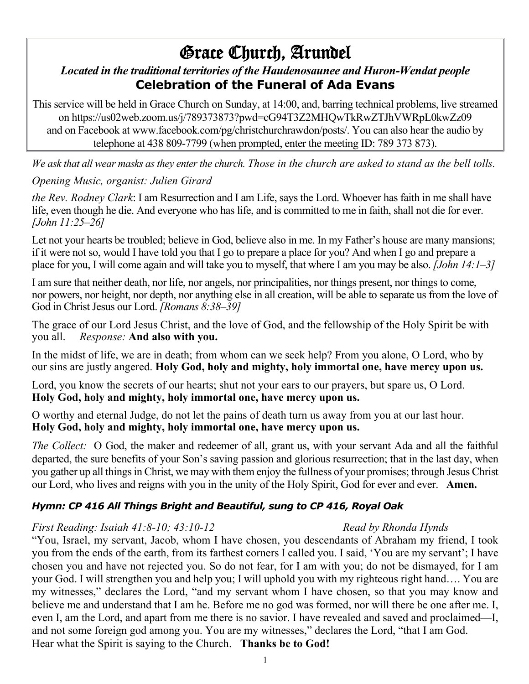# Grace Church, Arundel

# *Located in the traditional territories of the Haudenosaunee and Huron-Wendat people* **Celebration of the Funeral of Ada Evans**

This service will be held in Grace Church on Sunday, at 14:00, and, barring technical problems, live streamed on https://us02web.zoom.us/j/789373873?pwd=cG94T3Z2MHQwTkRwZTJhVWRpL0kwZz09 and on Facebook at www.facebook.com/pg/christchurchrawdon/posts/. You can also hear the audio by telephone at 438 809-7799 (when prompted, enter the meeting ID: 789 373 873).

*We ask that all wear masks as they enter the church. Those in the church are asked to stand as the bell tolls. Opening Music, organist: Julien Girard*

*the Rev. Rodney Clark*: I am Resurrection and I am Life, says the Lord. Whoever has faith in me shall have life, even though he die. And everyone who has life, and is committed to me in faith, shall not die for ever. *[John 11:25–26]*

Let not your hearts be troubled; believe in God, believe also in me. In my Father's house are many mansions; if it were not so, would I have told you that I go to prepare a place for you? And when I go and prepare a place for you, I will come again and will take you to myself, that where I am you may be also. *[John 14:1–3]*

I am sure that neither death, nor life, nor angels, nor principalities, nor things present, nor things to come, nor powers, nor height, nor depth, nor anything else in all creation, will be able to separate us from the love of God in Christ Jesus our Lord. *[Romans 8:38–39]*

The grace of our Lord Jesus Christ, and the love of God, and the fellowship of the Holy Spirit be with you all. *Response:* **And also with you.**

In the midst of life, we are in death; from whom can we seek help? From you alone, O Lord, who by our sins are justly angered. **Holy God, holy and mighty, holy immortal one, have mercy upon us.**

Lord, you know the secrets of our hearts; shut not your ears to our prayers, but spare us, O Lord. **Holy God, holy and mighty, holy immortal one, have mercy upon us.**

O worthy and eternal Judge, do not let the pains of death turn us away from you at our last hour. **Holy God, holy and mighty, holy immortal one, have mercy upon us.**

*The Collect:* O God, the maker and redeemer of all, grant us, with your servant Ada and all the faithful departed, the sure benefits of your Son's saving passion and glorious resurrection; that in the last day, when you gather up all things in Christ, we may with them enjoy the fullness of your promises; through Jesus Christ our Lord, who lives and reigns with you in the unity of the Holy Spirit, God for ever and ever. **Amen.**

## *Hymn: CP 416 All Things Bright and Beautiful, sung to CP 416, Royal Oak*

## *First Reading: Isaiah 41:8-10; 43:10-12 Read by Rhonda Hynds*

"You, Israel, my servant, Jacob, whom I have chosen, you descendants of Abraham my friend, I took you from the ends of the earth, from its farthest corners I called you. I said, 'You are my servant'; I have chosen you and have not rejected you. So do not fear, for I am with you; do not be dismayed, for I am your God. I will strengthen you and help you; I will uphold you with my righteous right hand…. You are my witnesses," declares the Lord, "and my servant whom I have chosen, so that you may know and believe me and understand that I am he. Before me no god was formed, nor will there be one after me. I, even I, am the Lord, and apart from me there is no savior. I have revealed and saved and proclaimed—I, and not some foreign god among you. You are my witnesses," declares the Lord, "that I am God. Hear what the Spirit is saying to the Church. **Thanks be to God!**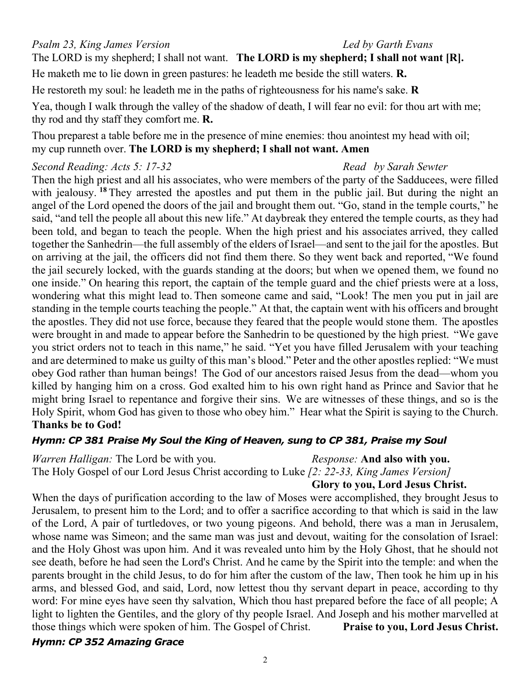*Psalm 23, King James Version Led by Garth Evans* The LORD is my shepherd; I shall not want. **The LORD is my shepherd; I shall not want [R].**

He maketh me to lie down in green pastures: he leadeth me beside the still waters. **R.**

He restoreth my soul: he leadeth me in the paths of righteousness for his name's sake. **R**

Yea, though I walk through the valley of the shadow of death, I will fear no evil: for thou art with me; thy rod and thy staff they comfort me. **R.**

Thou preparest a table before me in the presence of mine enemies: thou anointest my head with oil; my cup runneth over. **The LORD is my shepherd; I shall not want. Amen**

# *Second Reading: Acts 5: 17-32 Read by Sarah Sewter*

Then the high priest and all his associates, who were members of the party of the Sadducees, were filled with jealousy. <sup>18</sup> They arrested the apostles and put them in the public jail. But during the night an angel of the Lord opened the doors of the jail and brought them out. "Go, stand in the temple courts," he said, "and tell the people all about this new life." At daybreak they entered the temple courts, as they had been told, and began to teach the people. When the high priest and his associates arrived, they called together the Sanhedrin—the full assembly of the elders of Israel—and sent to the jail for the apostles. But on arriving at the jail, the officers did not find them there. So they went back and reported, "We found the jail securely locked, with the guards standing at the doors; but when we opened them, we found no one inside." On hearing this report, the captain of the temple guard and the chief priests were at a loss, wondering what this might lead to. Then someone came and said, "Look! The men you put in jail are standing in the temple courts teaching the people." At that, the captain went with his officers and brought the apostles. They did not use force, because they feared that the people would stone them. The apostles were brought in and made to appear before the Sanhedrin to be questioned by the high priest. "We gave you strict orders not to teach in this name," he said. "Yet you have filled Jerusalem with your teaching and are determined to make us guilty of this man's blood." Peter and the other apostles replied: "We must obey God rather than human beings! The God of our ancestors raised Jesus from the dead—whom you killed by hanging him on a cross. God exalted him to his own right hand as Prince and Savior that he might bring Israel to repentance and forgive their sins. We are witnesses of these things, and so is the Holy Spirit, whom God has given to those who obey him." Hear what the Spirit is saying to the Church. **Thanks be to God!**

## *Hymn: CP 381 Praise My Soul the King of Heaven, sung to CP 381, Praise my Soul*

*Warren Halligan:* The Lord be with you. *Response:* **And also with you.**

The Holy Gospel of our Lord Jesus Christ according to Luke *[2: 22-33, King James Version]*

**Glory to you, Lord Jesus Christ.**

When the days of purification according to the law of Moses were accomplished, they brought Jesus to Jerusalem, to present him to the Lord; and to offer a sacrifice according to that which is said in the law of the Lord, A pair of turtledoves, or two young pigeons. And behold, there was a man in Jerusalem, whose name was Simeon; and the same man was just and devout, waiting for the consolation of Israel: and the Holy Ghost was upon him. And it was revealed unto him by the Holy Ghost, that he should not see death, before he had seen the Lord's Christ. And he came by the Spirit into the temple: and when the parents brought in the child Jesus, to do for him after the custom of the law, Then took he him up in his arms, and blessed God, and said, Lord, now lettest thou thy servant depart in peace, according to thy word: For mine eyes have seen thy salvation, Which thou hast prepared before the face of all people; A light to lighten the Gentiles, and the glory of thy people Israel. And Joseph and his mother marvelled at those things which were spoken of him. The Gospel of Christ. **Praise to you, Lord Jesus Christ.**

## *Hymn: CP 352 Amazing Grace*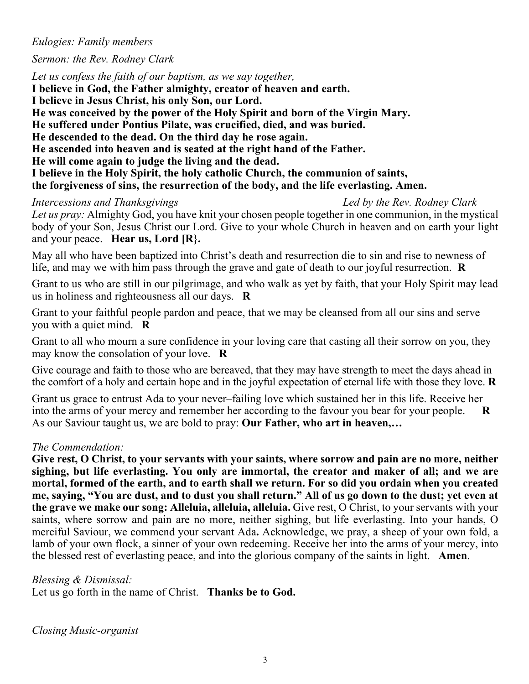#### *Eulogies: Family members*

#### *Sermon: the Rev. Rodney Clark*

*Let us confess the faith of our baptism, as we say together,* **I believe in God, the Father almighty, creator of heaven and earth. I believe in Jesus Christ, his only Son, our Lord. He was conceived by the power of the Holy Spirit and born of the Virgin Mary. He suffered under Pontius Pilate, was crucified, died, and was buried. He descended to the dead. On the third day he rose again. He ascended into heaven and is seated at the right hand of the Father. He will come again to judge the living and the dead. I believe in the Holy Spirit, the holy catholic Church, the communion of saints, the forgiveness of sins, the resurrection of the body, and the life everlasting. Amen.**

#### *Intercessions and Thanksgivings Led by the Rev. Rodney Clark*

*Let us pray:* Almighty God, you have knit your chosen people together in one communion, in the mystical body of your Son, Jesus Christ our Lord. Give to your whole Church in heaven and on earth your light and your peace. **Hear us, Lord [R}.**

May all who have been baptized into Christ's death and resurrection die to sin and rise to newness of life, and may we with him pass through the grave and gate of death to our joyful resurrection. **R**

Grant to us who are still in our pilgrimage, and who walk as yet by faith, that your Holy Spirit may lead us in holiness and righteousness all our days. **R**

Grant to your faithful people pardon and peace, that we may be cleansed from all our sins and serve you with a quiet mind. **R**

Grant to all who mourn a sure confidence in your loving care that casting all their sorrow on you, they may know the consolation of your love. **R**

Give courage and faith to those who are bereaved, that they may have strength to meet the days ahead in the comfort of a holy and certain hope and in the joyful expectation of eternal life with those they love. **R**

Grant us grace to entrust Ada to your never–failing love which sustained her in this life. Receive her into the arms of your mercy and remember her according to the favour you bear for your people. **R** As our Saviour taught us, we are bold to pray: **Our Father, who art in heaven,…**

#### *The Commendation:*

**Give rest, O Christ, to your servants with your saints, where sorrow and pain are no more, neither sighing, but life everlasting. You only are immortal, the creator and maker of all; and we are mortal, formed of the earth, and to earth shall we return. For so did you ordain when you created me, saying, "You are dust, and to dust you shall return." All of us go down to the dust; yet even at the grave we make our song: Alleluia, alleluia, alleluia.** Give rest, O Christ, to your servants with your saints, where sorrow and pain are no more, neither sighing, but life everlasting. Into your hands, O merciful Saviour, we commend your servant Ada**.** Acknowledge, we pray, a sheep of your own fold, a lamb of your own flock, a sinner of your own redeeming. Receive her into the arms of your mercy, into the blessed rest of everlasting peace, and into the glorious company of the saints in light. **Amen**.

*Blessing & Dismissal:*

Let us go forth in the name of Christ. **Thanks be to God.**

*Closing Music-organist*